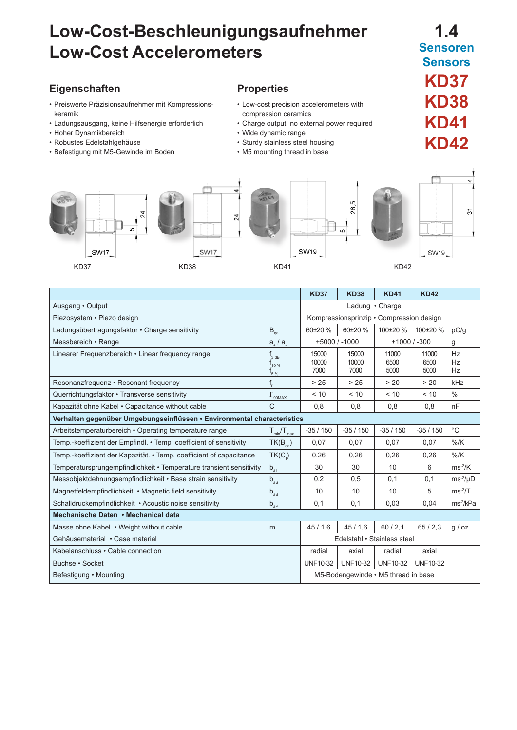# **Low-Cost-Beschleunigungsaufnehmer Low-Cost Accelerometers**

## **Eigenschaften**

- Preiswerte Präzisionsaufnehmer mit Kompressionskeramik
- Ladungsausgang, keine Hilfsenergie erforderlich
- Hoher Dynamikbereich
- Robustes Edelstahlgehäuse
- Befestigung mit M5-Gewinde im Boden

### **Properties**

- Low-cost precision accelerometers with compression ceramics
- Charge output, no external power required
- Wide dynamic range
- Sturdy stainless steel housing
- M5 mounting thread in base





|                                                                         |                                                                             | <b>KD37</b>                              | <b>KD38</b>            | <b>KD41</b>           | <b>KD42</b>           |                       |
|-------------------------------------------------------------------------|-----------------------------------------------------------------------------|------------------------------------------|------------------------|-----------------------|-----------------------|-----------------------|
| Ausgang · Output                                                        |                                                                             | Ladung . Charge                          |                        |                       |                       |                       |
| Piezosystem · Piezo design                                              |                                                                             | Kompressionsprinzip • Compression design |                        |                       |                       |                       |
| Ladungsübertragungsfaktor · Charge sensitivity                          | $B_{qa}$                                                                    | $60+20%$                                 | $60+20%$               | 100±20 %              | 100±20 %              | pC/q                  |
| Messbereich • Range                                                     | $a_{\perp}/a$                                                               | $+5000/ -1000$<br>$+1000/ -300$          |                        |                       | g                     |                       |
| Linearer Frequenzbereich • Linear frequency range                       | $f_{3\,\text{dB}}$<br>$\mathsf{r}_{\scriptscriptstyle 10\,\%}$<br>$I_{5\%}$ | 15000<br>10000<br>7000                   | 15000<br>10000<br>7000 | 11000<br>6500<br>5000 | 11000<br>6500<br>5000 | Hz<br>Hz<br>Hz        |
| Resonanzfrequenz • Resonant frequency                                   | f,                                                                          | > 25                                     | > 25                   | > 20                  | > 20                  | kHz                   |
| Querrichtungsfaktor · Transverse sensitivity                            | $\Gamma_{\rm 90MAX}$                                                        | < 10                                     | < 10                   | < 10                  | < 10                  | $\frac{0}{0}$         |
| Kapazität ohne Kabel · Capacitance without cable                        | $C_{1}$                                                                     | 0,8                                      | 0,8                    | 0,8                   | 0,8                   | nF                    |
| Verhalten gegenüber Umgebungseinflüssen • Environmental characteristics |                                                                             |                                          |                        |                       |                       |                       |
| Arbeitstemperaturbereich • Operating temperature range                  | $T_{min}/T_{max}$                                                           | $-35/150$                                | $-35/150$              | $-35/150$             | $-35/150$             | $^{\circ}$ C          |
| Temp.-koeffizient der Empfindl. • Temp. coefficient of sensitivity      | $TK(B_{\text{0a}})$                                                         | 0.07                                     | 0,07                   | 0,07                  | 0.07                  | $%$ /K                |
| Temp.-koeffizient der Kapazität. • Temp. coefficient of capacitance     | $TK(C_i)$                                                                   | 0,26                                     | 0.26                   | 0.26                  | 0.26                  | $%$ /K                |
| Temperatursprungempfindlichkeit • Temperature transient sensitivity     | $\mathsf{b}_{\mathsf{a}\mathsf{T}}$                                         | 30                                       | 30                     | 10                    | 6                     | $ms-2/K$              |
| Messobjektdehnungsempfindlichkeit · Base strain sensitivity             | $b_{as}$                                                                    | 0,2                                      | 0,5                    | 0,1                   | 0,1                   | $ms^{-2}/\mu D$       |
| Magnetfeldempfindlichkeit • Magnetic field sensitivity                  | $\mathsf{b}_{\mathsf{a}\mathsf{B}}$                                         | 10                                       | 10                     | 10                    | 5                     | $ms-2/T$              |
| Schalldruckempfindlichkeit • Acoustic noise sensitivity                 | $\mathsf{b}_{\mathsf{a}\mathsf{P}}$                                         | 0,1                                      | 0,1                    | 0.03                  | 0,04                  | ms <sup>-2</sup> /kPa |
| Mechanische Daten • Mechanical data                                     |                                                                             |                                          |                        |                       |                       |                       |
| Masse ohne Kabel • Weight without cable                                 | m                                                                           | 45/1,6                                   | 45/1,6                 | 60/2.1                | 65/2.3                | g / oz                |
| Gehäusematerial · Case material                                         |                                                                             | Edelstahl • Stainless steel              |                        |                       |                       |                       |
| Kabelanschluss • Cable connection                                       |                                                                             | radial                                   | axial                  | radial                | axial                 |                       |
| Buchse · Socket                                                         |                                                                             | <b>UNF10-32</b>                          | <b>UNF10-32</b>        | <b>UNF10-32</b>       | <b>UNF10-32</b>       |                       |
| Befestigung • Mounting                                                  |                                                                             | M5-Bodengewinde • M5 thread in base      |                        |                       |                       |                       |

# **1.4 Sensoren**

**Sensors** 

**KD37**

**KD38**

 $\overline{\widetilde{\mathcal{C}}}$